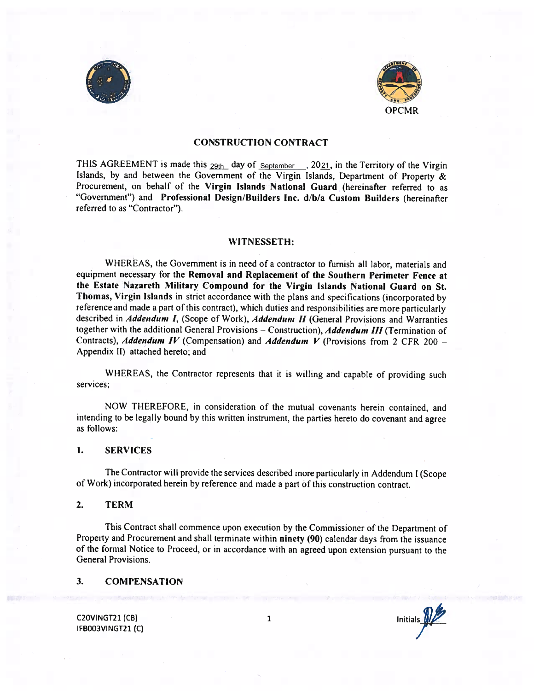



### CONSTRUCTION CONTRACT

THIS AGREEMENT is made this  $_{29th}$  day of  $_{September}$ , 20 $_{21}$ , in the Territory of the Virgin Islands, by and between the Government of the Virgin Islands, Department of Property & Procurement, on behalf of the Virgin Islands National Guard (hereinafter referred to as "Government") and Professional Design/Builders Inc. d/b/a Custom Builders (hereinafter referred to as "Contractor").

#### WITNESSETH:

WHEREAS, the Government is in need of a contractor to furnish all labor, materials and equipment necessary for the Removal and Replacement of the Southern Perimeter Fence at the Estate Nazareth Military Compound for the Virgin Islands National Guard on St. Thomas, Virgin Islands in strict accordance with the plans and specifications (incorporated by reference and made <sup>a</sup> part of this contract), which duties and responsibilities are more particularly described in Addendum I, (Scope of Work), Addendum II (General Provisions and Warranties together with the additional General Provisions - Construction), Addendum III (Termination of Contracts), Addendum IV (Compensation) and Addendum V (Provisions from 2 CFR 200 -Appendix II) attached hereto; and

WHEREAS, the Contractor represents that it is willing and capable of providing such services;

NOW THEREFORE, in consideration of the mutual covenants herein contained, and intending to be legally bound by this written instrument, the parties hereto do covenant and agree as follows:

#### 1. SERVICES

The Contractor will provide the services described more particularly in Addendum <sup>I</sup> (Scope of Work) incorporated herein by reference and made <sup>a</sup> part of this construction contract.

#### 2. TERM

This Contract shall commence upon execution by the Commissioner of the Department of Property and Procurement and shall terminate within ninety (90) calendar days from the issuance of the fomal Notice to Proceed, or in accordance with an agreed upon extension pursuant to the General Provisions.

#### 3. COMPENSATION

IFBOO3VINGT21 (C)

C2OVINGT21 (CB)  $\begin{array}{ccc} 1 & 1 & \text{initials} \end{array}$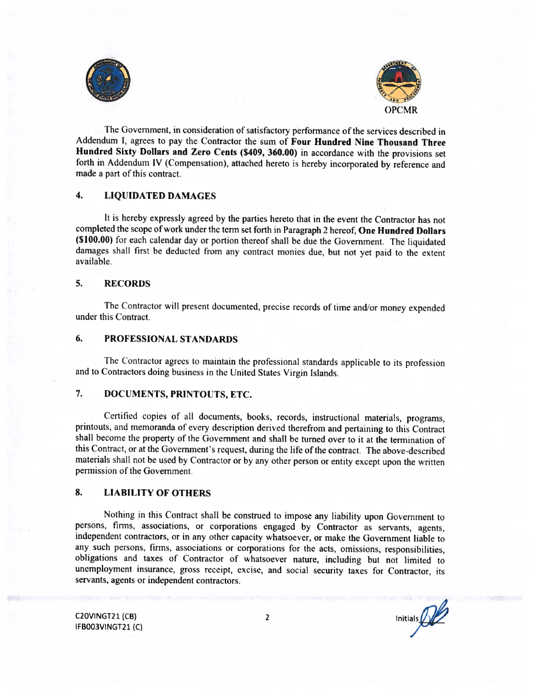



The Government, in consideration of satisfactory performance of the services described in Addendum I, agrees to pay the Contractor the sum of Four Hundred Nine Thousand Three Hundred Sixty Dollars and Zero Cents (\$409, 360.00) in accordance with the provisions set forth in Addendum IV (Compensation), attached hereto is hereby incorporated by reference and made <sup>a</sup> part of this contract.

# 4. LIQUIDATED DAMAGES

It is hereby expressly agreed by the parties hereto that in the event the Contractor has not completed the scope of work under the term set forth in Paragraph <sup>2</sup> hereof. One Hundred Dollars (\$100.00) for each calendar day or portion thereof shall be due the Government. The liquidated damages shall first he deducted from any contract monies due, hut not yet paid to the extent available.

#### 5. RECORDS

The Contractor will present documented, precise records of time and/or money expended under this Contract.

# 6. PROFESSIONAL STANDARDS

The Contractor agrees to maintain the professional standards applicable to its profession and to Contractors doing business in the United States Virgin Islands.

# 7. DOCUMENTS, PRINTOUTS, ETC.

Certified copies of all documents, hooks, records, instructional materials, programs, printouts, and memoranda of every description derived therefrom and pertaining to this Contract shall become the property of the Government and shall he turned over to it at the termination of this Contract, or at the Government's request, during the life of the contract. The above-described materials shall not be used by Contractor or by any other person or entity except upon the written permission of the Government.

# 8. LIABILITY OF OTHERS

Nothing in this Contract shall he construed to impose any liability upon Government to persons, firms, associations. or corporations engaged by Contractor as servants, agents, independent contractors, or in any other capacity whatsoever, or make the Government liable to any such persons, firms, associations or corporations for the acts, omissions. responsibilities. obligations and taxes of Contractor of whatsoever nature, including but not limited to unemployment insurance, gross receipt, excise, and social security taxes for Contractor, its servants, agents or independent contractors.

IFBOO3VINGT21 (C)

C2OVINGT21 (CB) 2 Initials  $\bigcirc$  Initials  $\bigcirc$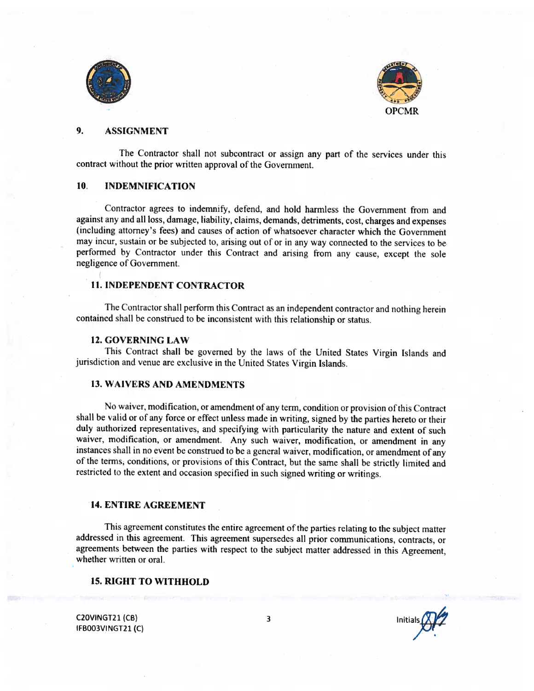



# 9. ASSIGNMENT

The Contractor shall not subcontract or assign any part of the services under this contract without the prior written approval of the Government.

#### 10. INDEMNIFICATION

Contractor agrees to indemnify, defend, and hold harmless the Government from and against any and all loss, damage, liability, claims, demands, detriments, cost, charges and expenses (including attorney's fees) and causes of action of whatsoever character which the Government may incur, sustain or he subjected to, arising out of or in any way connected to the services to he performed by Contractor under this Contract and arising from any cause, except the sole negligence of Government.

# 11. INDEPENDENT CONTRACTOR

The Contractor shall perform this Contract as an independent contractor and nothing herein contained shall he construed to he inconsistent with this relationship or status.

#### 12. GOVERNING LAW

This Contract shall be governed by the laws of the United States Virgin Islands and jurisdiction and venue are exclusive in the United States Virgin Islands.

### 13. WAIVERS AND AMENDMENTS

No waiver, modification, or amendment of any term, condition or provision of this Contract shall be valid or of any force or effect unless made in writing, signed by the parties hereto or their duly authorized representatives, and specifying with particularity the nature and extent of such waiver, modification, or amendment. Any such waiver, modification, or amendment in any instances shall in no event be construed to be <sup>a</sup> general waiver, modification, or amendment of any of the terms, conditions, or provisions of this Contract, but the same shall be strictly limited and restricted to the extent and occasion specified in such signed writing or writings.

#### 14. ENTIRE AGREEMENT

This agreement constitutes the entire agreement of the parties relating to the subject matter addressed in this agreement. This agreement supersedes all prior communications, contracts, or agreements between the parties with respect to the subject matter addressed in this Agreement. whether written or oral.

# 15. RIGHT TO WITHHOLD

C2OVINGT21 (CB) 3<br>IEBOO3VINGT31 (C) IFBOO3VINGT21 (C)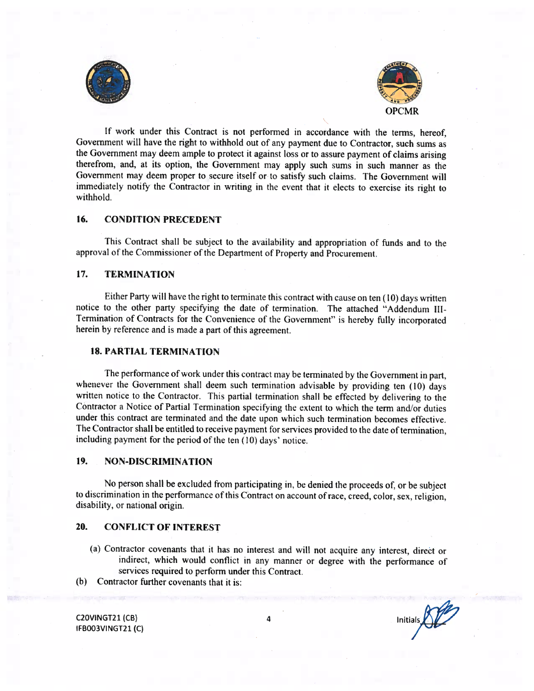



If work under this Contract is not performed in accordance with the terms, hereof, Government will have the right to withhold out of any payment due to Contractor, such sums as the Government may deem ample to protect it against loss or to assure payment of claims arising therefrom, and, at its option, the Government may apply such sums in such manner as the Government may deem proper to secure itself or to satisfy such claims. The Government will immediately notify the Contractor in writing in the event that it elects to exercise its right to withhold.

# 16. CONDITION PRECEDENT

This Contract shall be subject to the availability and appropriation of funds and to the approval of the Commissioner of the Department of Property and Procurement.

# 17. TERMINATION

Either Party will have the right to terminate this contract with cause on ten ( 10) days written notice to the other party specifying the date of termination. The attached "Addendum Ill-Termination of Contracts for the Convenience of the Government" is hereby fully incorporated herein by reference and is made <sup>a</sup> part of this agreement.

# 18. PARTIAL TERMINATION

The performance of work under this contract may be terminated by the Government in part, whenever the Government shall deem such termination advisable by providing ten (10) days written notice to the Contractor. This partial termination shall be effected by delivering to the Contractor <sup>a</sup> Notice of Partial Termination specifying the extent to which the term and/or duties under this contract are terminated and the date upon which such termination becomes effective. The Contractor shall be entitled to receive payment for services provided to the date of termination, including payment for the period of the ten  $(10)$  days' notice.

# 19. NON-DISCRIMINATION

No person shall be excluded from participating in, be denied the proceeds of, or be subject to discrimination in the performance of this Contract on account of race. creed, color, sex. religion, disability, or national origin.

# 20. CONFLICT OF INTEREST

- (a) Contractor covenants that it has no interest and will not acquire any interest. direèt or indirect, which would conflict in any manner or degree with the performance of services required to perform under this Contract.
- (b) Contractor further covenants that it is:

C2OVINGT21 (CB) IFBOO3VINGT21 (C)

Initials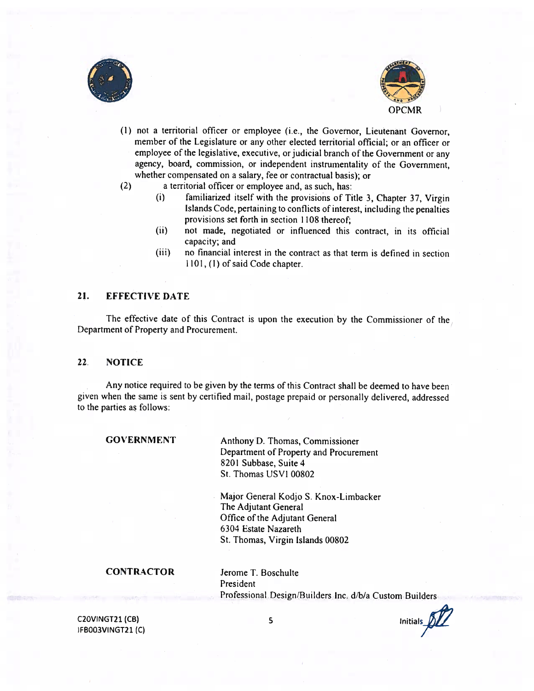



- (1) not <sup>a</sup> territorial officer or employee (i.e., the Governor, Lieutenant Governor, member of the Legislature or any other elected territorial official; or an officer or employee of the legislative, executive, or judicial branch of the Government or any agency, board, commission, or independent instrumentality of the Government, whether compensated on <sup>a</sup> salary, fee or contractual basis); or
- (2) <sup>a</sup> territorial officer or employee and, as such, has:
	- (i) familiarized itself with the provisions of Title 3, Chapter 37, Virgin Islands Code, pertaining to conflicts of interest, including the penalties provisions set forth in section 1108 thereof;
	- (ii) not made, negotiated or influenced this contract, in its official capacity; and
	- (iii) no financial interest in the contract as that term is defined in section 1101, (1) of said Code chapter.

# 21. EFFECTIVE DATE

The effective date of this Contract is upon the execution by the Commissioner of the Department of Property and Procurement.

### 22. NOTICE

Any notice required to be given by the terms of this Contract shall be deemed to have been given when the same is sent by certified mail, postage prepaid or personally delivered, addressed to the parties as follows:

GOVERNMENT Anthony D. Thomas, Commissioner Department of Property and Procurement 8201 Subbase, Suite 4 St. Thomas USVI 00802

> Major General Kodjo S. Knox-Limbacker The Adjutant General Office of the Adjutant General 6304 Estate Nazareth St. Thomas, Virgin Islands 00802

CONTRACTOR Jerome T. Boschulte President Professional Design/Builders inc. d/b/a Custom Builders

C20VINGT21 (CB) 5 Initials  $\int \int \int$ IFBOO3VINGT21 (C)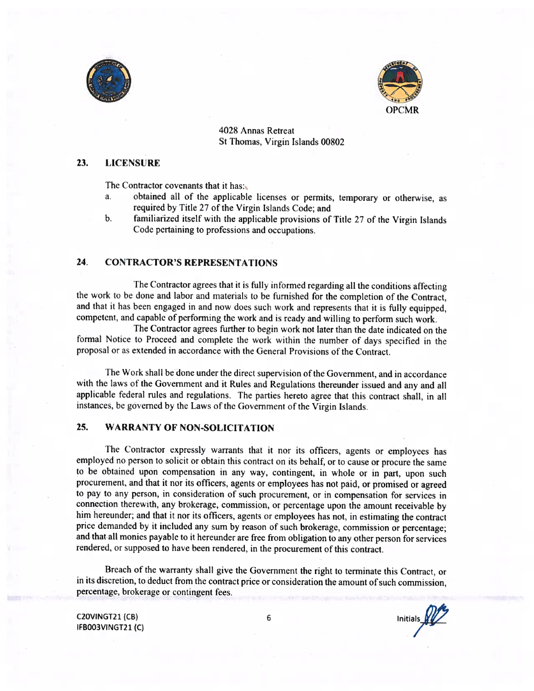



4028 Annas Retreat St Thomas, Virgin Islands 00802

# 23. LICENSURF.

The Contractor covenants that it has:

- a. obtained all of the applicable licenses or permits, temporary or otherwise, as required by Title 27 of the Virgin Islands Code; and
- b. familiarized itself with the applicable provisions of Title <sup>27</sup> of the Virgin Islands Code pertaining to professions and occupations.

# 24. CONTRACTOR'S REPRESENTATIONS

The Contractor agrees that it is fully informed regarding all the conditions affecting the work to he done and labor and materials to be furnished for the completion of the Contract, and that it has been engaged in and now does such work and represents that it is fully equipped, competent, and capable of performing the work and is ready and willing to perform such work.

The Contractor agrees further to begin work not later than the date indicated on the formal Notice to Proceed and complete the work within the number of days specified in the proposal or as extended in accordance with the General Provisions of the Contract.

The Work shall be done under the direct supervision of the Government, and in accordance with the laws of the Government and it Rules and Regulations thereunder issued and any and all applicable federal rules and regulations. The parties hereto agree that this contract shall, in all instances, be governed by the Laws of the Government of the Virgin Islands.

# 25. WARRANTY OF NON-SOLICITATION

The Contractor expressly warrants that it nor its officers, agents or employees has employed no person to solicit or obtain this contract on its behalf, or to cause or procure the same to he obtained upon compensation in any way, contingent, in whole or in part. upon such procurement. and that it nor its officers, agents or employees has not paid, or promised or agreed to pay to any person, in consideration of such procurement, or in compensation for services in connection therewith, any brokerage, commission, or percentage upon the amount receivable by him hereunder; and that it nor its officers, agents or employees has not, in estimating the contract price demanded by it included any sum by reason of such brokerage, commission or percentage; and that all monies payable to it hereunder are free from obligation to any other person for services rendered, or supposed to have been rendered, in the procurement of this contract.

Breach of the warranty shall give the Government the right to terminate this Contract, or in its discretion, to deduct from the contract price or consideration the amount of such commission, percentage. brokerage or contingent fees.

IFBOO3VINGT21 (C)

C2OVINGT21 (CB) 6 Initials  $\mathbb{Z}^2$ <br>IFB003VINGT21 (C)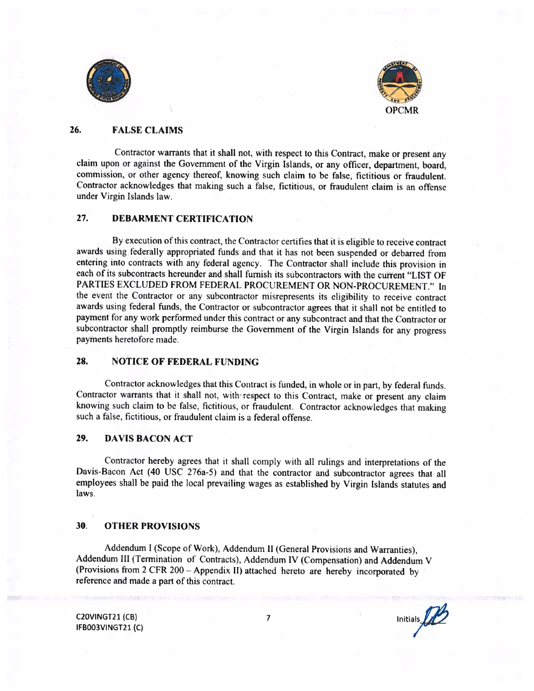



# 26. FALSE CLAIMS

Contractor warrants that it shall not, with respect to this Contract, make or present any claim upon or against the Government of the Virgin Islands, or any officer, department, board. commission, or other agency thereof, knowing such claim to be false, fictitious or fraudulent. Contractor acknowledges that making such a false, fictitious, or fraudulent claim is an offense under Virgin Islands law.

# 27. DEBARMENT CERTIFICATION

By execution of this contract, the Contractor certifies that it is eligible to receive contract awards using federally appropriated funds and that it has not been suspended or debarred from entering into contracts with any federal agency. The Contractor shall include this provision in each of its suhcontracts hereunder and shall furnish its subcontractors with the current "LIST OF PARTIES EXCLUDED FROM FEDERAL PROCUREMENT OR NON-PROCUREMENT." In the event the Contractor or any subcontractor misrepresents its eligibility to receive contract awards using federal funds. the Contractor or subcontractor agrees that it shall not be entitled to payment for any work performed under this contract or any subcontract and that the Contractor or subcontractor shall promptly reimburse the Government of the Virgin Islands for any progress payments heretofore made.

# 28. NOTICE OF FEDERAL FUNDING

Contractor acknowledges that this Contract is funded, in whole or in part, by federal funds. Contractor warrants that it shall not, with respect to this Contract, make or present any claim knowing such claim to be false, fictitious, or fraudulent. Contractor acknowledges that making such <sup>a</sup> false, fictitious, or fraudulent claim is <sup>a</sup> federal offense.

# 29. DAVIS BACON ACT

C'ontractor hereby agrees that it shall comply with all rulings and Interpretations of the Davis-Bacon Act (40 USC 276a-5) and that the contractor and subcontractor agrees that all employees shall be paid the local prevailing wages as established by Virgin Islands statutes and laws,

# 30. OTHER PROVISIONS

Addendum <sup>I</sup> (Scope of Work). Addendum II (General Provisions and Warranties). Addendum III (Termination of Contracts), Addendum IV (Compensation) and Addendum V (Provisions from <sup>2</sup> CFR <sup>200</sup> — Appendix II) attached hereto are hereby incorporated by reference and made <sup>a</sup> part of this contract.

IFBQO3VINGT21 (C)

C2OVINGT21 (CB)  $\overline{7}$  Initials  $\overline{D}$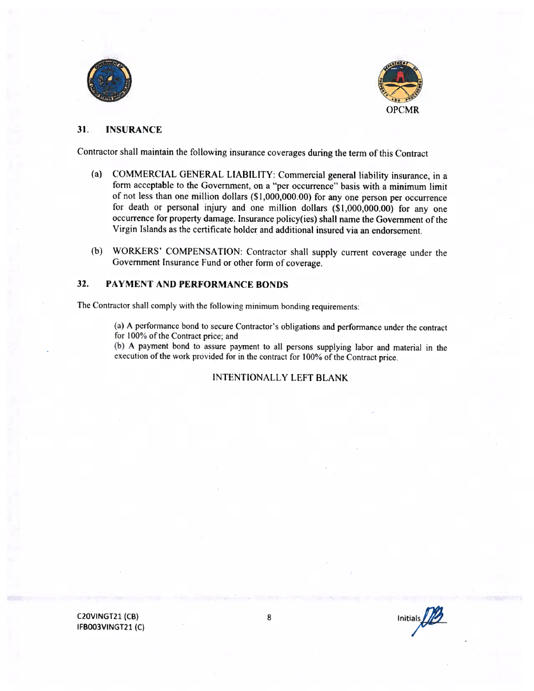



#### $31.$ **INSURANCE**

Contractor shall maintain the following insurance coverages during the term of this Contract

- (a) COMMERCIAL GENERAL LIABILITY: Commercial general liability insurance, in a form acceptable to the Government, on a "per occurrence" basis with a minimum limit of not less than one million dollars (\$1,000,000.00) for any one person per occurrence for death or personal injury and one million dollars (\$1,000,000.00) for any one occurrence for property damage. Insurance policy(ies) shall name the Government of the Virgin Islands as the certificate holder and additional insured via an endorsement.
- WORKERS' COMPENSATION: Contractor shall supply current coverage under the  $(b)$ Government Insurance Fund or other form of coverage.

#### 32. PAYMENT AND PERFORMANCE BONDS

The Contractor shall comply with the following minimum bonding requirements:

(a) A performance bond to secure Contractor's obligations and performance under the contract for 100% of the Contract price; and

(b) A payment bond to assure payment to all persons supplying labor and material in the execution of the work provided for in the contract for 100% of the Contract price.

#### **INTENTIONALLY LEFT BLANK**

C20VINGT21 (CB) IFB003VINGT21(C)